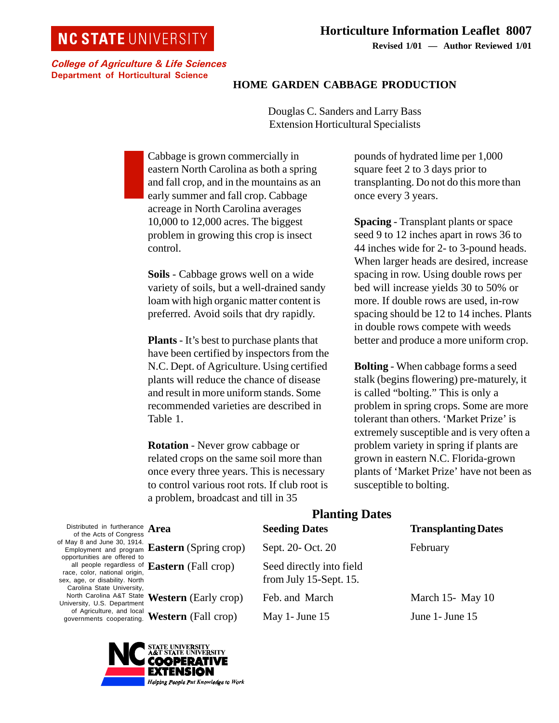## **NC STATE UNIVERSITY**

**Revised 1/01 — Author Reviewed 1/01**

College of Agriculture & Life Sciences Department of Horticultural Science

## **HOME GARDEN CABBAGE PRODUCTION**

Douglas C. Sanders and Larry Bass Extension Horticultural Specialists

Cabbage is grown commercially in eastern North Carolina as both a spring and fall crop, and in the mountains as an early summer and fall crop. Cabbage acreage in North Carolina averages 10,000 to 12,000 acres. The biggest problem in growing this crop is insect control.

**Soils** - Cabbage grows well on a wide variety of soils, but a well-drained sandy loam with high organic matter content is preferred. Avoid soils that dry rapidly.

**Plants** - It's best to purchase plants that have been certified by inspectors from the N.C. Dept. of Agriculture. Using certified plants will reduce the chance of disease and result in more uniform stands. Some recommended varieties are described in Table 1.

**Rotation** - Never grow cabbage or related crops on the same soil more than once every three years. This is necessary to control various root rots. If club root is a problem, broadcast and till in 35

pounds of hydrated lime per 1,000 square feet 2 to 3 days prior to transplanting. Do not do this more than once every 3 years.

**Spacing** - Transplant plants or space seed 9 to 12 inches apart in rows 36 to 44 inches wide for 2- to 3-pound heads. When larger heads are desired, increase spacing in row. Using double rows per bed will increase yields 30 to 50% or more. If double rows are used, in-row spacing should be 12 to 14 inches. Plants in double rows compete with weeds better and produce a more uniform crop.

**Bolting** - When cabbage forms a seed stalk (begins flowering) pre-maturely, it is called "bolting." This is only a problem in spring crops. Some are more tolerant than others. 'Market Prize' is extremely susceptible and is very often a problem variety in spring if plants are grown in eastern N.C. Florida-grown plants of 'Market Prize' have not been as susceptible to bolting.

| Distributed in furtherance<br>of the Acts of Congress                                                 |    |
|-------------------------------------------------------------------------------------------------------|----|
| of May 8 and June 30, 1914.<br>Employment and program                                                 | H) |
| opportunities are offered to<br>all people regardless of $\mathbf F$<br>race, color, national origin, |    |
| sex, age, or disability. North<br>Carolina State University,<br>North Carolina A&T State              |    |
| University, U.S. Department<br>of Agriculture, and local                                              |    |
| governments cooperating.                                                                              |    |

**Area Seeding Dates Transplanting Dates EXECUTE:** Example 1 Sept. 20- Oct. 20 February **Eastern** (Fall crop) Seed directly into field from July 15-Sept. 15. **Western** (Early crop) Feb. and March March 15- May 10 **Western** (Fall crop) May 1- June 15 June 1- June 15

**Planting Dates**

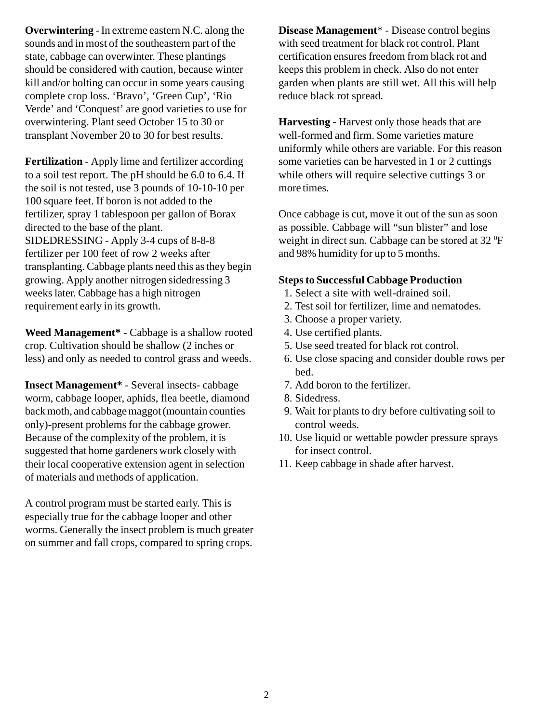**Overwintering** - In extreme eastern N.C. along the sounds and in most of the southeastern part of the state, cabbage can overwinter. These plantings should be considered with caution, because winter kill and/or bolting can occur in some years causing complete crop loss. 'Bravo', 'Green Cup', 'Rio Verde' and 'Conquest' are good varieties to use for overwintering. Plant seed October 15 to 30 or transplant November 20 to 30 for best results.

**Fertilization** - Apply lime and fertilizer according to a soil test report. The pH should be 6.0 to 6.4. If the soil is not tested, use 3 pounds of 10-10-10 per 100 square feet. If boron is not added to the fertilizer, spray 1 tablespoon per gallon of Borax directed to the base of the plant. SIDEDRESSING - Apply 3-4 cups of 8-8-8 fertilizer per 100 feet of row 2 weeks after transplanting. Cabbage plants need this as they begin growing. Apply another nitrogen sidedressing 3 weeks later. Cabbage has a high nitrogen requirement early in its growth.

**Weed Management\*** - Cabbage is a shallow rooted crop. Cultivation should be shallow (2 inches or less) and only as needed to control grass and weeds.

**Insect Management\*** - Several insects- cabbage worm, cabbage looper, aphids, flea beetle, diamond back moth, and cabbage maggot (mountain counties only)-present problems for the cabbage grower. Because of the complexity of the problem, it is suggested that home gardeners work closely with their local cooperative extension agent in selection of materials and methods of application.

A control program must be started early. This is especially true for the cabbage looper and other worms. Generally the insect problem is much greater on summer and fall crops, compared to spring crops.

**Disease Management**\* - Disease control begins with seed treatment for black rot control. Plant certification ensures freedom from black rot and keeps this problem in check. Also do not enter garden when plants are still wet. All this will help reduce black rot spread.

**Harvesting** - Harvest only those heads that are well-formed and firm. Some varieties mature uniformly while others are variable. For this reason some varieties can be harvested in 1 or 2 cuttings while others will require selective cuttings 3 or more times.

Once cabbage is cut, move it out of the sun as soon as possible. Cabbage will "sun blister" and lose weight in direct sun. Cabbage can be stored at 32 <sup>o</sup>F and 98% humidity for up to 5 months.

## **Steps to Successful Cabbage Production**

- 1. Select a site with well-drained soil.
- 2. Test soil for fertilizer, lime and nematodes.
- 3. Choose a proper variety.
- 4. Use certified plants.
- 5. Use seed treated for black rot control.
- 6. Use close spacing and consider double rows per bed.
- 7. Add boron to the fertilizer.
- 8. Sidedress.
- 9. Wait for plants to dry before cultivating soil to control weeds.
- 10. Use liquid or wettable powder pressure sprays for insect control.
- 11. Keep cabbage in shade after harvest.